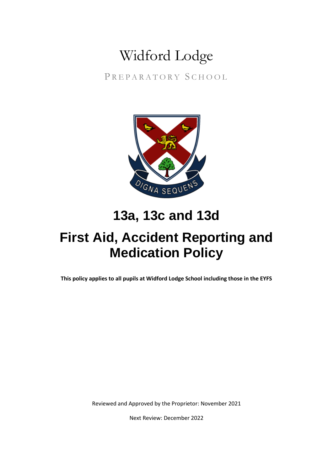# Widford Lodge

PREPARATORY SCHOOL



### **13a, 13c and 13d**

## **First Aid, Accident Reporting and Medication Policy**

**This policy applies to all pupils at Widford Lodge School including those in the EYFS**

Reviewed and Approved by the Proprietor: November 2021

Next Review: December 2022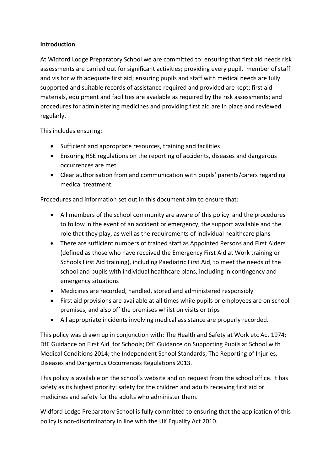#### **Introduction**

At Widford Lodge Preparatory School we are committed to: ensuring that first aid needs risk assessments are carried out for significant activities; providing every pupil, member of staff and visitor with adequate first aid; ensuring pupils and staff with medical needs are fully supported and suitable records of assistance required and provided are kept; first aid materials, equipment and facilities are available as required by the risk assessments; and procedures for administering medicines and providing first aid are in place and reviewed regularly.

This includes ensuring:

- Sufficient and appropriate resources, training and facilities
- Ensuring HSE regulations on the reporting of accidents, diseases and dangerous occurrences are met
- Clear authorisation from and communication with pupils' parents/carers regarding medical treatment.

Procedures and information set out in this document aim to ensure that:

- All members of the school community are aware of this policy and the procedures to follow in the event of an accident or emergency, the support available and the role that they play, as well as the requirements of individual healthcare plans
- There are sufficient numbers of trained staff as Appointed Persons and First Aiders (defined as those who have received the Emergency First Aid at Work training or Schools First Aid training), including Paediatric First Aid, to meet the needs of the school and pupils with individual healthcare plans, including in contingency and emergency situations
- Medicines are recorded, handled, stored and administered responsibly
- First aid provisions are available at all times while pupils or employees are on school premises, and also off the premises whilst on visits or trips
- All appropriate incidents involving medical assistance are properly recorded.

This policy was drawn up in conjunction with: The Health and Safety at Work etc Act 1974; DfE Guidance on First Aid for Schools; DfE Guidance on Supporting Pupils at School with Medical Conditions 2014; the Independent School Standards; The Reporting of Injuries, Diseases and Dangerous Occurrences Regulations 2013.

This policy is available on the school's website and on request from the school office. It has safety as its highest priority: safety for the children and adults receiving first aid or medicines and safety for the adults who administer them.

Widford Lodge Preparatory School is fully committed to ensuring that the application of this policy is non-discriminatory in line with the UK Equality Act 2010.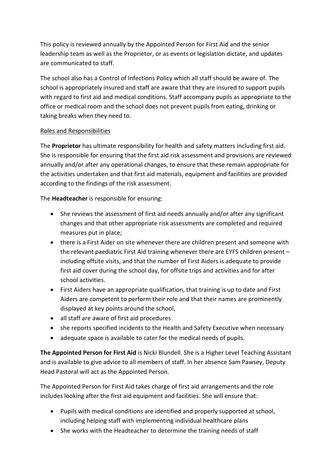This policy is reviewed annually by the Appointed Person for First Aid and the senior leadership team as well as the Proprietor, or as events or legislation dictate, and updates are communicated to staff.

The school also has a Control of Infections Policy which all staff should be aware of. The school is appropriately insured and staff are aware that they are insured to support pupils with regard to first aid and medical conditions. Staff accompany pupils as appropriate to the office or medical room and the school does not prevent pupils from eating, drinking or taking breaks when they need to.

#### Roles and Responsibilities

The **Proprietor** has ultimate responsibility for health and safety matters including first aid. She is responsible for ensuring that the first aid risk assessment and provisions are reviewed annually and/or after any operational changes, to ensure that these remain appropriate for the activities undertaken and that first aid materials, equipment and facilities are provided according to the findings of the risk assessment.

The **Headteacher** is responsible for ensuring:

- She reviews the assessment of first aid needs annually and/or after any significant changes and that other appropriate risk assessments are completed and required measures put in place;
- there is a First Aider on site whenever there are children present and someone with the relevant paediatric First Aid training whenever there are EYFS children present – including offsite visits, and that the number of First Aiders is adequate to provide first aid cover during the school day, for offsite trips and activities and for after school activities.
- First Aiders have an appropriate qualification, that training is up to date and First Aiders are competent to perform their role and that their names are prominently displayed at key points around the school,
- all staff are aware of first aid procedures
- she reports specified incidents to the Health and Safety Executive when necessary
- adequate space is available to cater for the medical needs of pupils.

**The Appointed Person for First Aid** is Nicki Blundell. She is a Higher Level Teaching Assistant and is available to give advice to all members of staff. In her absence Sam Pawsey, Deputy Head Pastoral will act as the Appointed Person.

The Appointed Person for First Aid takes charge of first aid arrangements and the role includes looking after the first aid equipment and facilities. She will ensure that:

- Pupils with medical conditions are identified and properly supported at school, including helping staff with implementing individual healthcare plans
- She works with the Headteacher to determine the training needs of staff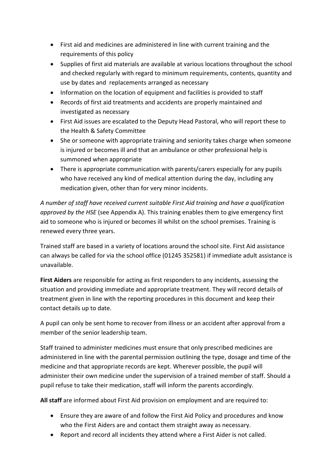- First aid and medicines are administered in line with current training and the requirements of this policy
- Supplies of first aid materials are available at various locations throughout the school and checked regularly with regard to minimum requirements, contents, quantity and use by dates and replacements arranged as necessary
- Information on the location of equipment and facilities is provided to staff
- Records of first aid treatments and accidents are properly maintained and investigated as necessary
- First Aid issues are escalated to the Deputy Head Pastoral, who will report these to the Health & Safety Committee
- She or someone with appropriate training and seniority takes charge when someone is injured or becomes ill and that an ambulance or other professional help is summoned when appropriate
- There is appropriate communication with parents/carers especially for any pupils who have received any kind of medical attention during the day, including any medication given, other than for very minor incidents.

*A number of staff have received current suitable First Aid training and have a qualification approved by the HSE* (see Appendix A). This training enables them to give emergency first aid to someone who is injured or becomes ill whilst on the school premises. Training is renewed every three years.

Trained staff are based in a variety of locations around the school site. First Aid assistance can always be called for via the school office (01245 352581) if immediate adult assistance is unavailable.

**First Aiders** are responsible for acting as first responders to any incidents, assessing the situation and providing immediate and appropriate treatment. They will record details of treatment given in line with the reporting procedures in this document and keep their contact details up to date.

A pupil can only be sent home to recover from illness or an accident after approval from a member of the senior leadership team.

Staff trained to administer medicines must ensure that only prescribed medicines are administered in line with the parental permission outlining the type, dosage and time of the medicine and that appropriate records are kept. Wherever possible, the pupil will administer their own medicine under the supervision of a trained member of staff. Should a pupil refuse to take their medication, staff will inform the parents accordingly.

**All staff** are informed about First Aid provision on employment and are required to:

- Ensure they are aware of and follow the First Aid Policy and procedures and know who the First Aiders are and contact them straight away as necessary.
- Report and record all incidents they attend where a First Aider is not called.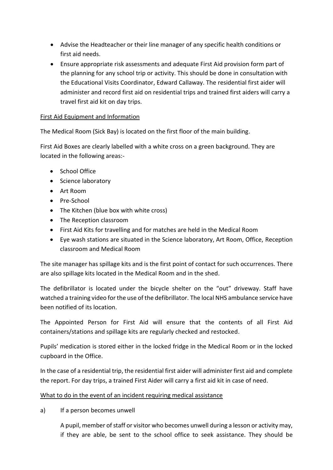- Advise the Headteacher or their line manager of any specific health conditions or first aid needs.
- Ensure appropriate risk assessments and adequate First Aid provision form part of the planning for any school trip or activity. This should be done in consultation with the Educational Visits Coordinator, Edward Callaway. The residential first aider will administer and record first aid on residential trips and trained first aiders will carry a travel first aid kit on day trips.

#### First Aid Equipment and Information

The Medical Room (Sick Bay) is located on the first floor of the main building.

First Aid Boxes are clearly labelled with a white cross on a green background. They are located in the following areas:-

- School Office
- Science laboratory
- Art Room
- Pre-School
- The Kitchen (blue box with white cross)
- The Reception classroom
- First Aid Kits for travelling and for matches are held in the Medical Room
- Eye wash stations are situated in the Science laboratory, Art Room, Office, Reception classroom and Medical Room

The site manager has spillage kits and is the first point of contact for such occurrences. There are also spillage kits located in the Medical Room and in the shed.

The defibrillator is located under the bicycle shelter on the "out" driveway. Staff have watched a training video for the use of the defibrillator. The local NHS ambulance service have been notified of its location.

The Appointed Person for First Aid will ensure that the contents of all First Aid containers/stations and spillage kits are regularly checked and restocked.

Pupils' medication is stored either in the locked fridge in the Medical Room or in the locked cupboard in the Office.

In the case of a residential trip, the residential first aider will administer first aid and complete the report. For day trips, a trained First Aider will carry a first aid kit in case of need.

#### What to do in the event of an incident requiring medical assistance

a) If a person becomes unwell

A pupil, member of staff or visitor who becomes unwell during a lesson or activity may, if they are able, be sent to the school office to seek assistance. They should be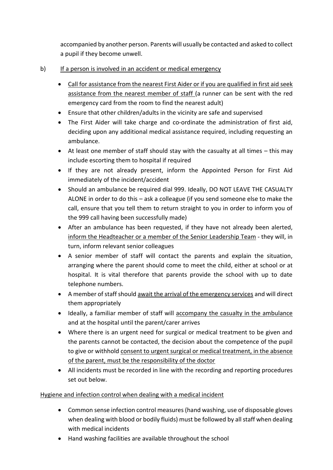accompanied by another person. Parents will usually be contacted and asked to collect a pupil if they become unwell.

- b) If a person is involved in an accident or medical emergency
	- Call for assistance from the nearest First Aider or if you are qualified in first aid seek assistance from the nearest member of staff (a runner can be sent with the red emergency card from the room to find the nearest adult)
	- Ensure that other children/adults in the vicinity are safe and supervised
	- The First Aider will take charge and co-ordinate the administration of first aid, deciding upon any additional medical assistance required, including requesting an ambulance.
	- At least one member of staff should stay with the casualty at all times this may include escorting them to hospital if required
	- If they are not already present, inform the Appointed Person for First Aid immediately of the incident/accident
	- Should an ambulance be required dial 999. Ideally, DO NOT LEAVE THE CASUALTY ALONE in order to do this – ask a colleague (if you send someone else to make the call, ensure that you tell them to return straight to you in order to inform you of the 999 call having been successfully made)
	- After an ambulance has been requested, if they have not already been alerted, inform the Headteacher or a member of the Senior Leadership Team - they will, in turn, inform relevant senior colleagues
	- A senior member of staff will contact the parents and explain the situation, arranging where the parent should come to meet the child, either at school or at hospital. It is vital therefore that parents provide the school with up to date telephone numbers.
	- A member of staff should await the arrival of the emergency services and will direct them appropriately
	- Ideally, a familiar member of staff will accompany the casualty in the ambulance and at the hospital until the parent/carer arrives
	- Where there is an urgent need for surgical or medical treatment to be given and the parents cannot be contacted, the decision about the competence of the pupil to give or withhold consent to urgent surgical or medical treatment, in the absence of the parent, must be the responsibility of the doctor
	- All incidents must be recorded in line with the recording and reporting procedures set out below.

#### Hygiene and infection control when dealing with a medical incident

- Common sense infection control measures (hand washing, use of disposable gloves when dealing with blood or bodily fluids) must be followed by all staff when dealing with medical incidents
- Hand washing facilities are available throughout the school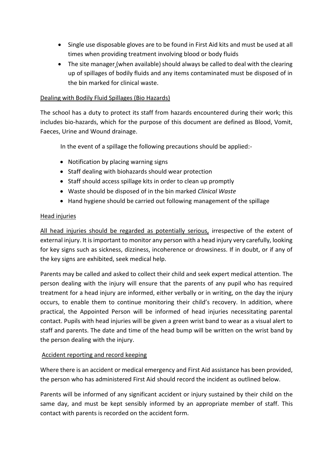- Single use disposable gloves are to be found in First Aid kits and must be used at all times when providing treatment involving blood or body fluids
- The site manager (when available) should always be called to deal with the clearing up of spillages of bodily fluids and any items contaminated must be disposed of in the bin marked for clinical waste.

#### Dealing with Bodily Fluid Spillages (Bio Hazards)

The school has a duty to protect its staff from hazards encountered during their work; this includes bio-hazards, which for the purpose of this document are defined as Blood, Vomit, Faeces, Urine and Wound drainage.

In the event of a spillage the following precautions should be applied:-

- Notification by placing warning signs
- Staff dealing with biohazards should wear protection
- Staff should access spillage kits in order to clean up promptly
- Waste should be disposed of in the bin marked *Clinical Waste*
- Hand hygiene should be carried out following management of the spillage

#### Head injuries

All head injuries should be regarded as potentially serious, irrespective of the extent of external injury. It is important to monitor any person with a head injury very carefully, looking for key signs such as sickness, dizziness, incoherence or drowsiness. If in doubt, or if any of the key signs are exhibited, seek medical help.

Parents may be called and asked to collect their child and seek expert medical attention. The person dealing with the injury will ensure that the parents of any pupil who has required treatment for a head injury are informed, either verbally or in writing, on the day the injury occurs, to enable them to continue monitoring their child's recovery. In addition, where practical, the Appointed Person will be informed of head injuries necessitating parental contact. Pupils with head injuries will be given a green wrist band to wear as a visual alert to staff and parents. The date and time of the head bump will be written on the wrist band by the person dealing with the injury.

#### Accident reporting and record keeping

Where there is an accident or medical emergency and First Aid assistance has been provided, the person who has administered First Aid should record the incident as outlined below.

Parents will be informed of any significant accident or injury sustained by their child on the same day, and must be kept sensibly informed by an appropriate member of staff. This contact with parents is recorded on the accident form.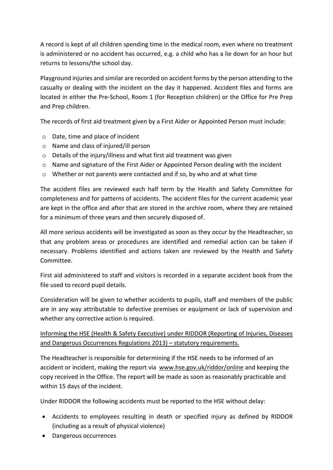A record is kept of all children spending time in the medical room, even where no treatment is administered or no accident has occurred, e.g. a child who has a lie down for an hour but returns to lessons/the school day.

Playground injuries and similar are recorded on accident forms by the person attending to the casualty or dealing with the incident on the day it happened. Accident files and forms are located in either the Pre-School, Room 1 (for Reception children) or the Office for Pre Prep and Prep children.

The records of first aid treatment given by a First Aider or Appointed Person must include:

- o Date, time and place of incident
- o Name and class of injured/ill person
- o Details of the injury/illness and what first aid treatment was given
- o Name and signature of the First Aider or Appointed Person dealing with the incident
- $\circ$  Whether or not parents were contacted and if so, by who and at what time

The accident files are reviewed each half term by the Health and Safety Committee for completeness and for patterns of accidents. The accident files for the current academic year are kept in the office and after that are stored in the archive room, where they are retained for a minimum of three years and then securely disposed of.

All more serious accidents will be investigated as soon as they occur by the Headteacher, so that any problem areas or procedures are identified and remedial action can be taken if necessary. Problems identified and actions taken are reviewed by the Health and Safety Committee.

First aid administered to staff and visitors is recorded in a separate accident book from the file used to record pupil details.

Consideration will be given to whether accidents to pupils, staff and members of the public are in any way attributable to defective premises or equipment or lack of supervision and whether any corrective action is required.

#### Informing the HSE (Health & Safety Executive) under RIDDOR (Reporting of Injuries, Diseases and Dangerous Occurrences Regulations 2013) – statutory requirements.

The Headteacher is responsible for determining if the HSE needs to be informed of an accident or incident, making the report via [www.hse.gov.uk/riddor/online](http://www.hse.gov.uk/riddor/online) and keeping the copy received in the Office. The report will be made as soon as reasonably practicable and within 15 days of the incident.

Under RIDDOR the following accidents must be reported to the HSE without delay:

- Accidents to employees resulting in death or specified injury as defined by RIDDOR (including as a result of physical violence)
- Dangerous occurrences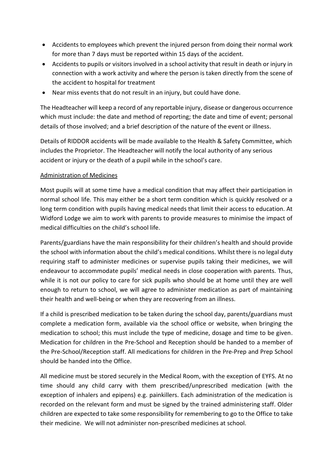- Accidents to employees which prevent the injured person from doing their normal work for more than 7 days must be reported within 15 days of the accident.
- Accidents to pupils or visitors involved in a school activity that result in death or injury in connection with a work activity and where the person is taken directly from the scene of the accident to hospital for treatment
- Near miss events that do not result in an injury, but could have done.

The Headteacher will keep a record of any reportable injury, disease or dangerous occurrence which must include: the date and method of reporting; the date and time of event; personal details of those involved; and a brief description of the nature of the event or illness.

Details of RIDDOR accidents will be made available to the Health & Safety Committee, which includes the Proprietor. The Headteacher will notify the local authority of any serious accident or injury or the death of a pupil while in the school's care.

#### Administration of Medicines

Most pupils will at some time have a medical condition that may affect their participation in normal school life. This may either be a short term condition which is quickly resolved or a long term condition with pupils having medical needs that limit their access to education. At Widford Lodge we aim to work with parents to provide measures to minimise the impact of medical difficulties on the child's school life.

Parents/guardians have the main responsibility for their children's health and should provide the school with information about the child's medical conditions. Whilst there is no legal duty requiring staff to administer medicines or supervise pupils taking their medicines, we will endeavour to accommodate pupils' medical needs in close cooperation with parents. Thus, while it is not our policy to care for sick pupils who should be at home until they are well enough to return to school, we will agree to administer medication as part of maintaining their health and well-being or when they are recovering from an illness.

If a child is prescribed medication to be taken during the school day, parents/guardians must complete a medication form, available via the school office or website, when bringing the medication to school; this must include the type of medicine, dosage and time to be given. Medication for children in the Pre-School and Reception should be handed to a member of the Pre-School/Reception staff. All medications for children in the Pre-Prep and Prep School should be handed into the Office.

All medicine must be stored securely in the Medical Room, with the exception of EYFS. At no time should any child carry with them prescribed/unprescribed medication (with the exception of inhalers and epipens) e.g. painkillers. Each administration of the medication is recorded on the relevant form and must be signed by the trained administering staff. Older children are expected to take some responsibility for remembering to go to the Office to take their medicine. We will not administer non-prescribed medicines at school.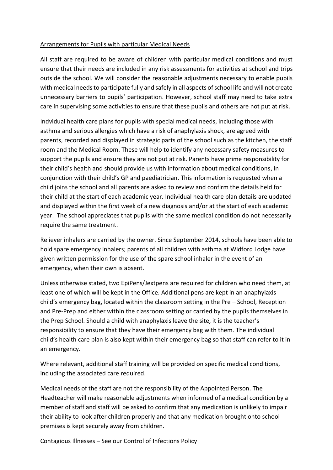#### Arrangements for Pupils with particular Medical Needs

All staff are required to be aware of children with particular medical conditions and must ensure that their needs are included in any risk assessments for activities at school and trips outside the school. We will consider the reasonable adjustments necessary to enable pupils with medical needs to participate fully and safely in all aspects of school life and will not create unnecessary barriers to pupils' participation. However, school staff may need to take extra care in supervising some activities to ensure that these pupils and others are not put at risk.

Indvidual health care plans for pupils with special medical needs, including those with asthma and serious allergies which have a risk of anaphylaxis shock, are agreed with parents, recorded and displayed in strategic parts of the school such as the kitchen, the staff room and the Medical Room. These will help to identify any necessary safety measures to support the pupils and ensure they are not put at risk. Parents have prime responsibility for their child's health and should provide us with information about medical conditions, in conjunction with their child's GP and paediatrician. This information is requested when a child joins the school and all parents are asked to review and confirm the details held for their child at the start of each academic year. Individual health care plan details are updated and displayed within the first week of a new diagnosis and/or at the start of each academic year. The school appreciates that pupils with the same medical condition do not necessarily require the same treatment.

Reliever inhalers are carried by the owner. Since September 2014, schools have been able to hold spare emergency inhalers; parents of all children with asthma at Widford Lodge have given written permission for the use of the spare school inhaler in the event of an emergency, when their own is absent.

Unless otherwise stated, two EpiPens/Jextpens are required for children who need them, at least one of which will be kept in the Office. Additional pens are kept in an anaphylaxis child's emergency bag, located within the classroom setting in the Pre – School, Reception and Pre-Prep and either within the classroom setting or carried by the pupils themselves in the Prep School. Should a child with anaphylaxis leave the site, it is the teacher's responsibility to ensure that they have their emergency bag with them. The individual child's health care plan is also kept within their emergency bag so that staff can refer to it in an emergency.

Where relevant, additional staff training will be provided on specific medical conditions, including the associated care required.

Medical needs of the staff are not the responsibility of the Appointed Person. The Headteacher will make reasonable adjustments when informed of a medical condition by a member of staff and staff will be asked to confirm that any medication is unlikely to impair their ability to look after children properly and that any medication brought onto school premises is kept securely away from children.

Contagious Illnesses – See our Control of Infections Policy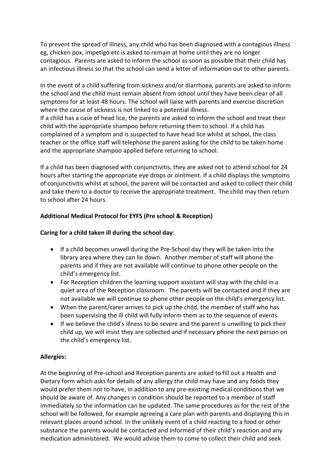To prevent the spread of illness, any child who has been diagnosed with a contagious illness eg, chicken pox, impetigo etc is asked to remain at home until they are no longer contagious. Parents are asked to inform the school as soon as possible that their child has an infectious illness so that the school can send a letter of information out to other parents.

In the event of a child suffering from sickness and/or diarrhoea, parents are asked to inform the school and the child must remain absent from school until they have been clear of all symptoms for at least 48 hours. The school will liaise with parents and exercise discretion where the cause of sickness is not linked to a potential illness.

If a child has a case of head lice, the parents are asked to inform the school and treat their child with the appropriate shampoo before returning them to school. If a child has complained of a symptom and is suspected to have head lice whilst at school, the class teacher or the office staff will telephone the parent asking for the child to be taken home and the appropriate shampoo applied before returning to school.

If a child has been diagnosed with conjunctivitis, they are asked not to attend school for 24 hours after starting the appropriate eye drops or ointment. If a child displays the symptoms of conjunctivitis whilst at school, the parent will be contacted and asked to collect their child and take them to a doctor to receive the appropriate treatment. The child may then return to school after 24 hours.

#### **Additional Medical Protocol for EYFS (Pre school & Reception)**

#### **Caring for a child taken ill during the school day:**

- If a child becomes unwell during the Pre-School day they will be taken into the library area where they can lie down. Another member of staff will phone the parents and if they are not available will continue to phone other people on the child's emergency list.
- For Reception children the learning support assistant will stay with the child in a quiet area of the Reception classroom. The parents will be contacted and if they are not available we will continue to phone other people on the child's emergency list.
- When the parent/carer arrives to pick up the child, the member of staff who has been supervising the ill child will fully inform them as to the sequence of events.
- If we believe the child's illness to be severe and the parent is unwilling to pick their child up, we will insist they are collected and if necessary phone the next person on the child's emergency list.

#### **Allergies:**

At the beginning of Pre-school and Reception parents are asked to fill out a Health and Dietary form which asks for details of any allergy the child may have and any foods they would prefer them not to have, in addition to any pre-existing medical conditions that we should be aware of. Any changes in condition should be reported to a member of staff immediately so the information can be updated. The same procedures as for the rest of the school will be followed, for example agreeing a care plan with parents and displaying this in relevant places around school. In the unlikely event of a child reacting to a food or other substance the parents would be contacted and informed of their child's reaction and any medication administered. We would advise them to come to collect their child and seek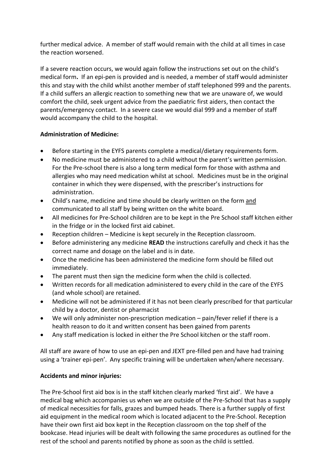further medical advice. A member of staff would remain with the child at all times in case the reaction worsened.

If a severe reaction occurs, we would again follow the instructions set out on the child's medical form**.** If an epi-pen is provided and is needed, a member of staff would administer this and stay with the child whilst another member of staff telephoned 999 and the parents. If a child suffers an allergic reaction to something new that we are unaware of, we would comfort the child, seek urgent advice from the paediatric first aiders, then contact the parents/emergency contact. In a severe case we would dial 999 and a member of staff would accompany the child to the hospital.

#### **Administration of Medicine:**

- Before starting in the EYFS parents complete a medical/dietary requirements form.
- No medicine must be administered to a child without the parent's written permission. For the Pre-school there is also a long term medical form for those with asthma and allergies who may need medication whilst at school. Medicines must be in the original container in which they were dispensed, with the prescriber's instructions for administration.
- Child's name, medicine and time should be clearly written on the form and communicated to all staff by being written on the white board.
- All medicines for Pre-School children are to be kept in the Pre School staff kitchen either in the fridge or in the locked first aid cabinet.
- Reception children Medicine is kept securely in the Reception classroom.
- Before administering any medicine **READ** the instructions carefully and check it has the correct name and dosage on the label and is in date.
- Once the medicine has been administered the medicine form should be filled out immediately.
- The parent must then sign the medicine form when the child is collected.
- Written records for all medication administered to every child in the care of the EYFS (and whole school) are retained.
- Medicine will not be administered if it has not been clearly prescribed for that particular child by a doctor, dentist or pharmacist
- We will only administer non-prescription medication pain/fever relief if there is a health reason to do it and written consent has been gained from parents
- Any staff medication is locked in either the Pre School kitchen or the staff room.

All staff are aware of how to use an epi-pen and JEXT pre-filled pen and have had training using a 'trainer epi-pen'. Any specific training will be undertaken when/where necessary.

#### **Accidents and minor injuries:**

The Pre-School first aid box is in the staff kitchen clearly marked 'first aid'. We have a medical bag which accompanies us when we are outside of the Pre-School that has a supply of medical necessities for falls, grazes and bumped heads. There is a further supply of first aid equipment in the medical room which is located adjacent to the Pre-School. Reception have their own first aid box kept in the Reception classroom on the top shelf of the bookcase. Head injuries will be dealt with following the same procedures as outlined for the rest of the school and parents notified by phone as soon as the child is settled.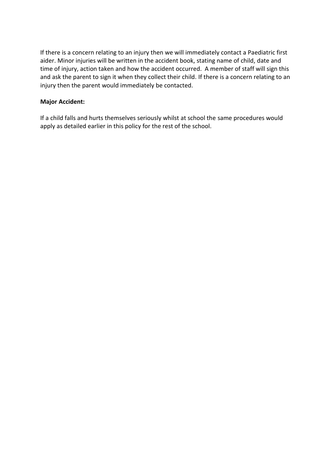If there is a concern relating to an injury then we will immediately contact a Paediatric first aider. Minor injuries will be written in the accident book, stating name of child, date and time of injury, action taken and how the accident occurred. A member of staff will sign this and ask the parent to sign it when they collect their child. If there is a concern relating to an injury then the parent would immediately be contacted.

#### **Major Accident:**

If a child falls and hurts themselves seriously whilst at school the same procedures would apply as detailed earlier in this policy for the rest of the school.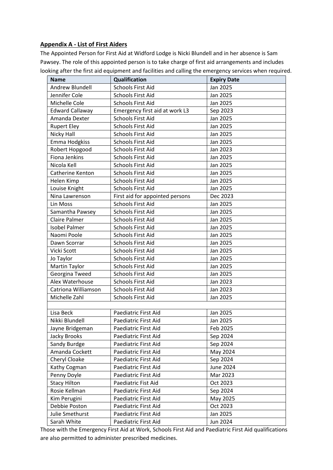#### **Appendix A - List of First Aiders**

The Appointed Person for First Aid at Widford Lodge is Nicki Blundell and in her absence is Sam Pawsey. The role of this appointed person is to take charge of first aid arrangements and includes looking after the first aid equipment and facilities and calling the emergency services when required.

| <b>Name</b>            | <b>Qualification</b>            | <b>Expiry Date</b> |
|------------------------|---------------------------------|--------------------|
| Andrew Blundell        | <b>Schools First Aid</b>        | Jan 2025           |
| Jennifer Cole          | <b>Schools First Aid</b>        | Jan 2025           |
| Michelle Cole          | <b>Schools First Aid</b>        | Jan 2025           |
| <b>Edward Callaway</b> | Emergency first aid at work L3  | Sep 2023           |
| Amanda Dexter          | <b>Schools First Aid</b>        | Jan 2025           |
| <b>Rupert Eley</b>     | <b>Schools First Aid</b>        | Jan 2025           |
| Nicky Hall             | <b>Schools First Aid</b>        | Jan 2025           |
| Emma Hodgkiss          | <b>Schools First Aid</b>        | Jan 2025           |
| Robert Hopgood         | <b>Schools First Aid</b>        | Jan 2023           |
| <b>Fiona Jenkins</b>   | <b>Schools First Aid</b>        | Jan 2025           |
| Nicola Kell            | <b>Schools First Aid</b>        | Jan 2025           |
| Catherine Kenton       | <b>Schools First Aid</b>        | Jan 2025           |
| Helen Kimp             | <b>Schools First Aid</b>        | Jan 2025           |
| Louise Knight          | <b>Schools First Aid</b>        | Jan 2025           |
| Nina Lawrenson         | First aid for appointed persons | Dec 2023           |
| Lin Moss               | <b>Schools First Aid</b>        | Jan 2025           |
| Samantha Pawsey        | <b>Schools First Aid</b>        | Jan 2025           |
| <b>Claire Palmer</b>   | <b>Schools First Aid</b>        | Jan 2025           |
| <b>Isobel Palmer</b>   | <b>Schools First Aid</b>        | Jan 2025           |
| Naomi Poole            | <b>Schools First Aid</b>        | Jan 2025           |
| Dawn Scorrar           | <b>Schools First Aid</b>        | Jan 2025           |
| Vicki Scott            | <b>Schools First Aid</b>        | Jan 2025           |
| Jo Taylor              | <b>Schools First Aid</b>        | Jan 2025           |
| Martin Taylor          | <b>Schools First Aid</b>        | Jan 2025           |
| Georgina Tweed         | <b>Schools First Aid</b>        | Jan 2025           |
| Alex Waterhouse        | <b>Schools First Aid</b>        | Jan 2023           |
| Catriona Williamson    | <b>Schools First Aid</b>        | Jan 2023           |
| Michelle Zahl          | <b>Schools First Aid</b>        | Jan 2025           |
|                        |                                 |                    |
| Lisa Beck              | Paediatric First Aid            | Jan 2025           |
| Nikki Blundell         | Paediatric First Aid            | Jan 2025           |
| Jayne Bridgeman        | Paediatric First Aid            | Feb 2025           |
| Jacky Brooks           | Paediatric First Aid            | Sep 2024           |
| Sandy Burdge           | Paediatric First Aid            | Sep 2024           |
| Amanda Cockett         | Paediatric First Aid            | May 2024           |
| Cheryl Cloake          | Paediatric First Aid            | Sep 2024           |
| Kathy Cogman           | Paediatric First Aid            | June 2024          |
| Penny Doyle            | Paediatric First Aid            | Mar 2023           |
| <b>Stacy Hilton</b>    | Paediatric Fist Aid             | Oct 2023           |
| Rosie Kellman          | Paediatric First Aid            | Sep 2024           |
| Kim Perugini           | Paediatric First Aid            | May 2025           |
| Debbie Poston          | Paediatric First Aid            | Oct 2023           |
| Julie Smethurst        | Paediatric First Aid            | Jan 2025           |
| Sarah White            | Paediatric First Aid            | Jun 2024           |

Those with the Emergency First Aid at Work, Schools First Aid and Paediatric First Aid qualifications are also permitted to administer prescribed medicines.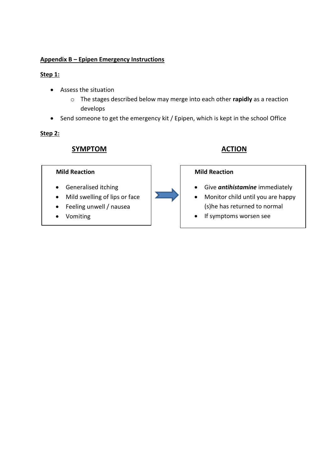#### **Appendix B – Epipen Emergency Instructions**

#### **Step 1:**

- Assess the situation
	- o The stages described below may merge into each other **rapidly** as a reaction develops
- Send someone to get the emergency kit / Epipen, which is kept in the school Office

#### **Step 2:**

### **SYMPTOM ACTION**

#### **Mild Reaction**

- **•** Generalised itching
- Mild swelling of lips or face
- Feeling unwell / nausea
- Vomiting



#### **Mild Reaction**

- Give *antihistamine* immediately
- Monitor child until you are happy (s)he has returned to normal
- If symptoms worsen see